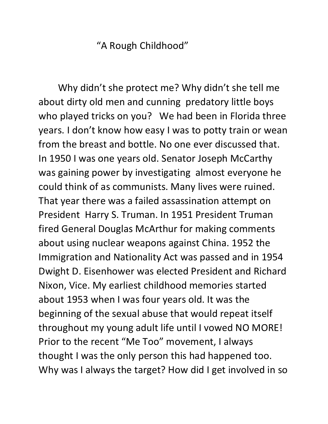"A Rough Childhood"

Why didn't she protect me? Why didn't she tell me about dirty old men and cunning predatory little boys who played tricks on you? We had been in Florida three years. I don't know how easy I was to potty train or wean from the breast and bottle. No one ever discussed that. In 1950 I was one years old. Senator Joseph McCarthy was gaining power by investigating almost everyone he could think of as communists. Many lives were ruined. That year there was a failed assassination attempt on President Harry S. Truman. In 1951 President Truman fired General Douglas McArthur for making comments about using nuclear weapons against China. 1952 the Immigration and Nationality Act was passed and in 1954 Dwight D. Eisenhower was elected President and Richard Nixon, Vice. My earliest childhood memories started about 1953 when I was four years old. It was the beginning of the sexual abuse that would repeat itself throughout my young adult life until I vowed NO MORE! Prior to the recent "Me Too" movement, I always thought I was the only person this had happened too. Why was I always the target? How did I get involved in so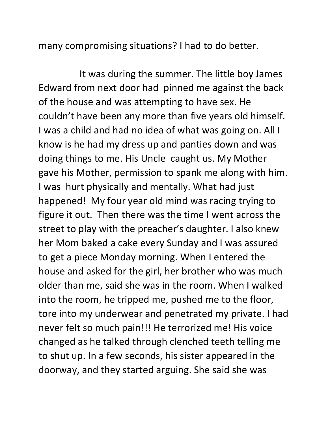many compromising situations? I had to do better.

It was during the summer. The little boy James Edward from next door had pinned me against the back of the house and was attempting to have sex. He couldn't have been any more than five years old himself. I was a child and had no idea of what was going on. All I know is he had my dress up and panties down and was doing things to me. His Uncle caught us. My Mother gave his Mother, permission to spank me along with him. I was hurt physically and mentally. What had just happened! My four year old mind was racing trying to figure it out. Then there was the time I went across the street to play with the preacher's daughter. I also knew her Mom baked a cake every Sunday and I was assured to get a piece Monday morning. When I entered the house and asked for the girl, her brother who was much older than me, said she was in the room. When I walked into the room, he tripped me, pushed me to the floor, tore into my underwear and penetrated my private. I had never felt so much pain!!! He terrorized me! His voice changed as he talked through clenched teeth telling me to shut up. In a few seconds, his sister appeared in the doorway, and they started arguing. She said she was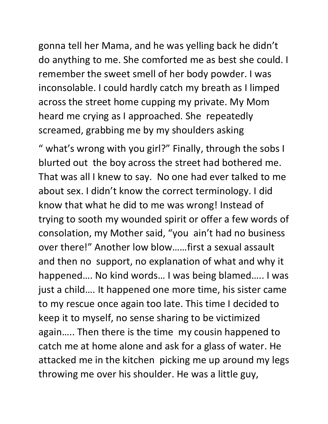gonna tell her Mama, and he was yelling back he didn't do anything to me. She comforted me as best she could. I remember the sweet smell of her body powder. I was inconsolable. I could hardly catch my breath as I limped across the street home cupping my private. My Mom heard me crying as I approached. She repeatedly screamed, grabbing me by my shoulders asking

" what's wrong with you girl?" Finally, through the sobs I blurted out the boy across the street had bothered me. That was all I knew to say. No one had ever talked to me about sex. I didn't know the correct terminology. I did know that what he did to me was wrong! Instead of trying to sooth my wounded spirit or offer a few words of consolation, my Mother said, "you ain't had no business over there!" Another low blow……first a sexual assault and then no support, no explanation of what and why it happened…. No kind words… I was being blamed….. I was just a child…. It happened one more time, his sister came to my rescue once again too late. This time I decided to keep it to myself, no sense sharing to be victimized again….. Then there is the time my cousin happened to catch me at home alone and ask for a glass of water. He attacked me in the kitchen picking me up around my legs throwing me over his shoulder. He was a little guy,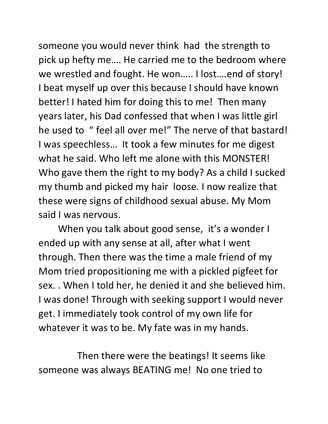someone you would never think had the strength to pick up hefty me…. He carried me to the bedroom where we wrestled and fought. He won….. I lost….end of story! I beat myself up over this because I should have known better! I hated him for doing this to me! Then many years later, his Dad confessed that when I was little girl he used to " feel all over me!" The nerve of that bastard! I was speechless… It took a few minutes for me digest what he said. Who left me alone with this MONSTER! Who gave them the right to my body? As a child I sucked my thumb and picked my hair loose. I now realize that these were signs of childhood sexual abuse. My Mom said I was nervous.

When you talk about good sense, it's a wonder I ended up with any sense at all, after what I went through. Then there was the time a male friend of my Mom tried propositioning me with a pickled pigfeet for sex. . When I told her, he denied it and she believed him. I was done! Through with seeking support I would never get. I immediately took control of my own life for whatever it was to be. My fate was in my hands.

Then there were the beatings! It seems like someone was always BEATING me! No one tried to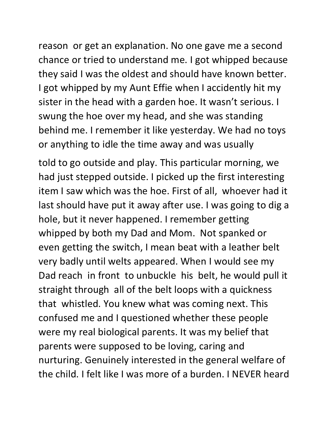reason or get an explanation. No one gave me a second chance or tried to understand me. I got whipped because they said I was the oldest and should have known better. I got whipped by my Aunt Effie when I accidently hit my sister in the head with a garden hoe. It wasn't serious. I swung the hoe over my head, and she was standing behind me. I remember it like yesterday. We had no toys or anything to idle the time away and was usually

told to go outside and play. This particular morning, we had just stepped outside. I picked up the first interesting item I saw which was the hoe. First of all, whoever had it last should have put it away after use. I was going to dig a hole, but it never happened. I remember getting whipped by both my Dad and Mom. Not spanked or even getting the switch, I mean beat with a leather belt very badly until welts appeared. When I would see my Dad reach in front to unbuckle his belt, he would pull it straight through all of the belt loops with a quickness that whistled. You knew what was coming next. This confused me and I questioned whether these people were my real biological parents. It was my belief that parents were supposed to be loving, caring and nurturing. Genuinely interested in the general welfare of the child. I felt like I was more of a burden. I NEVER heard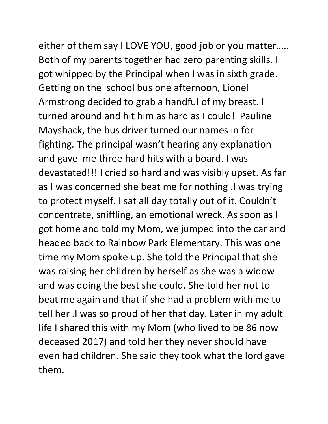either of them say I LOVE YOU, good job or you matter….. Both of my parents together had zero parenting skills. I got whipped by the Principal when I was in sixth grade. Getting on the school bus one afternoon, Lionel Armstrong decided to grab a handful of my breast. I turned around and hit him as hard as I could! Pauline Mayshack, the bus driver turned our names in for fighting. The principal wasn't hearing any explanation and gave me three hard hits with a board. I was devastated!!! I cried so hard and was visibly upset. As far as I was concerned she beat me for nothing .I was trying to protect myself. I sat all day totally out of it. Couldn't concentrate, sniffling, an emotional wreck. As soon as I got home and told my Mom, we jumped into the car and headed back to Rainbow Park Elementary. This was one time my Mom spoke up. She told the Principal that she was raising her children by herself as she was a widow and was doing the best she could. She told her not to beat me again and that if she had a problem with me to tell her .I was so proud of her that day. Later in my adult life I shared this with my Mom (who lived to be 86 now deceased 2017) and told her they never should have even had children. She said they took what the lord gave them.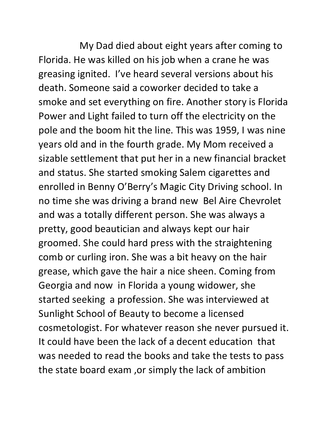My Dad died about eight years after coming to Florida. He was killed on his job when a crane he was greasing ignited. I've heard several versions about his death. Someone said a coworker decided to take a smoke and set everything on fire. Another story is Florida Power and Light failed to turn off the electricity on the pole and the boom hit the line. This was 1959, I was nine years old and in the fourth grade. My Mom received a sizable settlement that put her in a new financial bracket and status. She started smoking Salem cigarettes and enrolled in Benny O'Berry's Magic City Driving school. In no time she was driving a brand new Bel Aire Chevrolet and was a totally different person. She was always a pretty, good beautician and always kept our hair groomed. She could hard press with the straightening comb or curling iron. She was a bit heavy on the hair grease, which gave the hair a nice sheen. Coming from Georgia and now in Florida a young widower, she started seeking a profession. She was interviewed at Sunlight School of Beauty to become a licensed cosmetologist. For whatever reason she never pursued it. It could have been the lack of a decent education that was needed to read the books and take the tests to pass the state board exam ,or simply the lack of ambition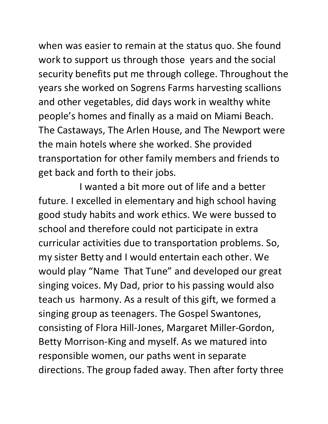when was easier to remain at the status quo. She found work to support us through those years and the social security benefits put me through college. Throughout the years she worked on Sogrens Farms harvesting scallions and other vegetables, did days work in wealthy white people's homes and finally as a maid on Miami Beach. The Castaways, The Arlen House, and The Newport were the main hotels where she worked. She provided transportation for other family members and friends to get back and forth to their jobs.

I wanted a bit more out of life and a better future. I excelled in elementary and high school having good study habits and work ethics. We were bussed to school and therefore could not participate in extra curricular activities due to transportation problems. So, my sister Betty and I would entertain each other. We would play "Name That Tune" and developed our great singing voices. My Dad, prior to his passing would also teach us harmony. As a result of this gift, we formed a singing group as teenagers. The Gospel Swantones, consisting of Flora Hill-Jones, Margaret Miller-Gordon, Betty Morrison-King and myself. As we matured into responsible women, our paths went in separate directions. The group faded away. Then after forty three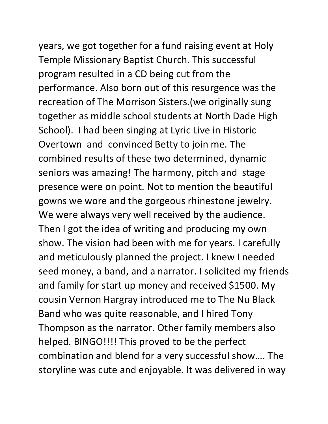Temple Missionary Baptist Church. This successful program resulted in a CD being cut from the performance. Also born out of this resurgence was the recreation of The Morrison Sisters.(we originally sung together as middle school students at North Dade High School). I had been singing at Lyric Live in Historic Overtown and convinced Betty to join me. The combined results of these two determined, dynamic seniors was amazing! The harmony, pitch and stage presence were on point. Not to mention the beautiful gowns we wore and the gorgeous rhinestone jewelry. We were always very well received by the audience. Then I got the idea of writing and producing my own show. The vision had been with me for years. I carefully and meticulously planned the project. I knew I needed seed money, a band, and a narrator. I solicited my friends and family for start up money and received \$1500. My cousin Vernon Hargray introduced me to The Nu Black Band who was quite reasonable, and I hired Tony Thompson as the narrator. Other family members also helped. BINGO!!!! This proved to be the perfect combination and blend for a very successful show…. The storyline was cute and enjoyable. It was delivered in way